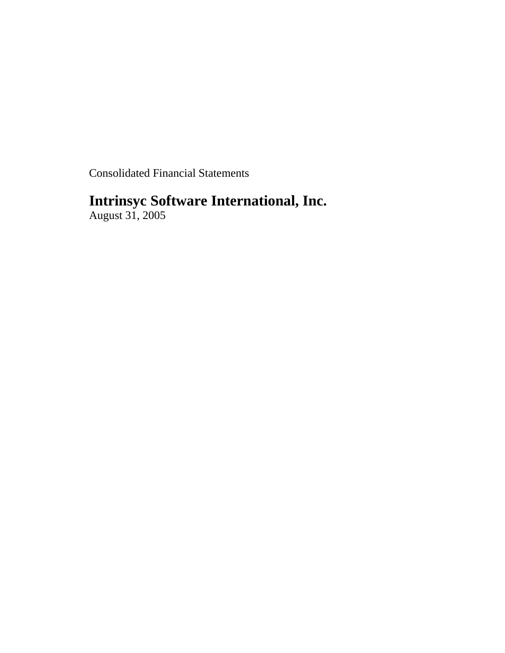Consolidated Financial Statements

# **Intrinsyc Software International, Inc.**

August 31, 2005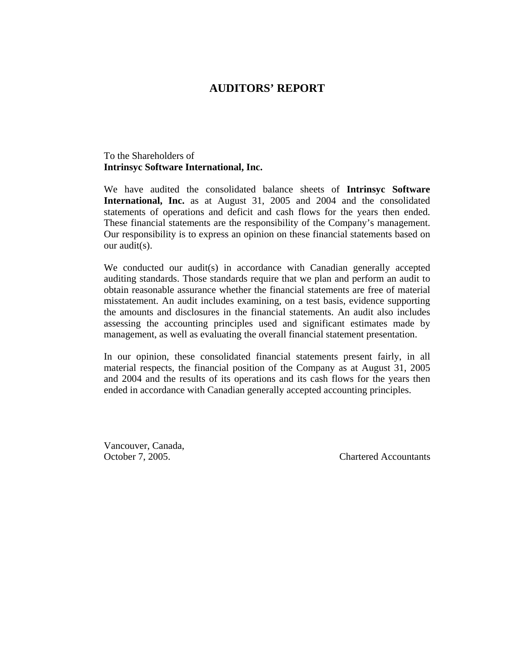## **AUDITORS' REPORT**

## To the Shareholders of **Intrinsyc Software International, Inc.**

We have audited the consolidated balance sheets of **Intrinsyc Software International, Inc.** as at August 31, 2005 and 2004 and the consolidated statements of operations and deficit and cash flows for the years then ended. These financial statements are the responsibility of the Company's management. Our responsibility is to express an opinion on these financial statements based on our audit(s).

We conducted our audit(s) in accordance with Canadian generally accepted auditing standards. Those standards require that we plan and perform an audit to obtain reasonable assurance whether the financial statements are free of material misstatement. An audit includes examining, on a test basis, evidence supporting the amounts and disclosures in the financial statements. An audit also includes assessing the accounting principles used and significant estimates made by management, as well as evaluating the overall financial statement presentation.

In our opinion, these consolidated financial statements present fairly, in all material respects, the financial position of the Company as at August 31, 2005 and 2004 and the results of its operations and its cash flows for the years then ended in accordance with Canadian generally accepted accounting principles.

Vancouver, Canada,

October 7, 2005. Chartered Accountants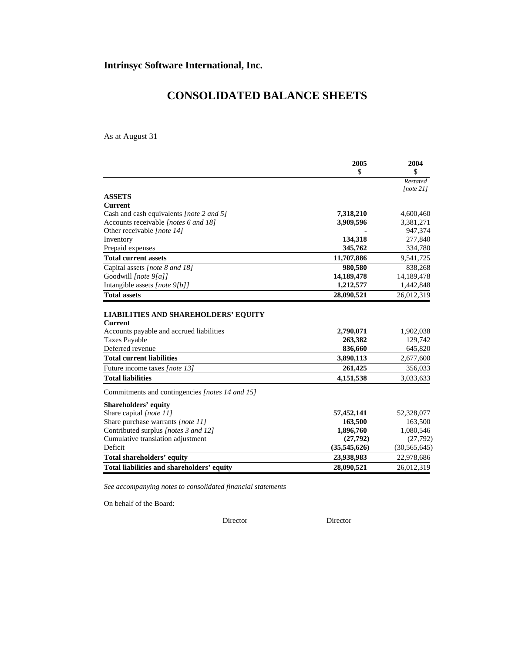# **CONSOLIDATED BALANCE SHEETS**

As at August 31

|                                                                                    | 2005                       | 2004                         |
|------------------------------------------------------------------------------------|----------------------------|------------------------------|
|                                                                                    | \$                         | \$                           |
|                                                                                    |                            | Restated<br>[note 21]        |
| <b>ASSETS</b>                                                                      |                            |                              |
| <b>Current</b>                                                                     |                            |                              |
| Cash and cash equivalents [note 2 and 5]                                           | 7,318,210                  | 4,600,460                    |
| Accounts receivable [notes 6 and 18]                                               | 3,909,596                  | 3,381,271                    |
| Other receivable [note 14]                                                         |                            | 947,374                      |
| Inventory                                                                          | 134,318                    | 277,840                      |
| Prepaid expenses                                                                   | 345,762                    | 334,780                      |
| <b>Total current assets</b>                                                        | 11,707,886                 | 9,541,725                    |
| Capital assets [note 8 and 18]                                                     | 980,580                    | 838,268                      |
| Goodwill [note 9[a]]                                                               | 14,189,478                 | 14,189,478                   |
| Intangible assets [note 9[b]]                                                      | 1,212,577                  | 1,442,848                    |
| <b>Total assets</b>                                                                | 28,090,521                 | 26,012,319                   |
| <b>Current</b><br>Accounts payable and accrued liabilities<br><b>Taxes Payable</b> | 2,790,071<br>263,382       | 1,902,038<br>129,742         |
| Deferred revenue                                                                   | 836,660                    | 645,820                      |
| <b>Total current liabilities</b>                                                   | 3,890,113                  |                              |
| Future income taxes [note 13]                                                      | 261,425                    | 2,677,600                    |
| <b>Total liabilities</b>                                                           |                            | 356,033                      |
|                                                                                    | 4,151,538                  | 3,033,633                    |
| Commitments and contingencies [notes 14 and 15]                                    |                            |                              |
| Shareholders' equity                                                               |                            |                              |
| Share capital [note 11]                                                            | 57,452,141                 | 52,328,077                   |
| Share purchase warrants [note 11]                                                  | 163,500                    | 163,500                      |
| Contributed surplus [notes 3 and 12]                                               | 1,896,760                  | 1,080,546                    |
| Cumulative translation adjustment                                                  | (27,792)                   | (27,792)                     |
| Deficit<br>Total shareholders' equity                                              | (35,545,626)<br>23,938,983 | (30, 565, 645)<br>22,978,686 |

*See accompanying notes to consolidated financial statements* 

On behalf of the Board:

Director Director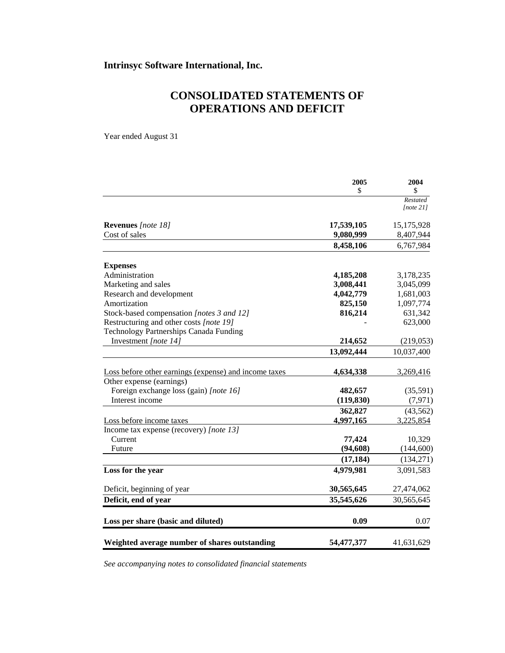# **CONSOLIDATED STATEMENTS OF OPERATIONS AND DEFICIT**

Year ended August 31

|                                                       | 2005       | 2004       |
|-------------------------------------------------------|------------|------------|
|                                                       | \$         | \$         |
|                                                       |            | Restated   |
|                                                       |            | [note 21]  |
| Revenues [note 18]                                    | 17,539,105 | 15,175,928 |
| Cost of sales                                         | 9,080,999  | 8,407,944  |
|                                                       | 8,458,106  | 6,767,984  |
| <b>Expenses</b>                                       |            |            |
| Administration                                        | 4,185,208  | 3,178,235  |
| Marketing and sales                                   | 3,008,441  | 3,045,099  |
| Research and development                              | 4,042,779  | 1,681,003  |
| Amortization                                          | 825,150    | 1,097,774  |
| Stock-based compensation [notes 3 and 12]             | 816,214    | 631,342    |
| Restructuring and other costs [note 19]               |            | 623,000    |
| Technology Partnerships Canada Funding                |            |            |
| Investment [note 14]                                  | 214,652    | (219, 053) |
|                                                       | 13,092,444 | 10,037,400 |
| Loss before other earnings (expense) and income taxes | 4,634,338  | 3,269,416  |
| Other expense (earnings)                              |            |            |
| Foreign exchange loss (gain) [note 16]                | 482,657    | (35,591)   |
| Interest income                                       | (119, 830) | (7, 971)   |
|                                                       | 362,827    | (43, 562)  |
| Loss before income taxes                              | 4,997,165  | 3,225,854  |
| Income tax expense (recovery) [note 13]               |            |            |
| Current                                               | 77,424     | 10,329     |
| Future                                                | (94, 608)  | (144, 600) |
|                                                       | (17, 184)  | (134,271)  |
| Loss for the year                                     | 4,979,981  | 3,091,583  |
| Deficit, beginning of year                            | 30,565,645 | 27,474,062 |
| Deficit, end of year                                  | 35,545,626 | 30,565,645 |
|                                                       |            |            |
| Loss per share (basic and diluted)                    | 0.09       | 0.07       |
| Weighted average number of shares outstanding         | 54,477,377 | 41,631,629 |
|                                                       |            |            |

*See accompanying notes to consolidated financial statements*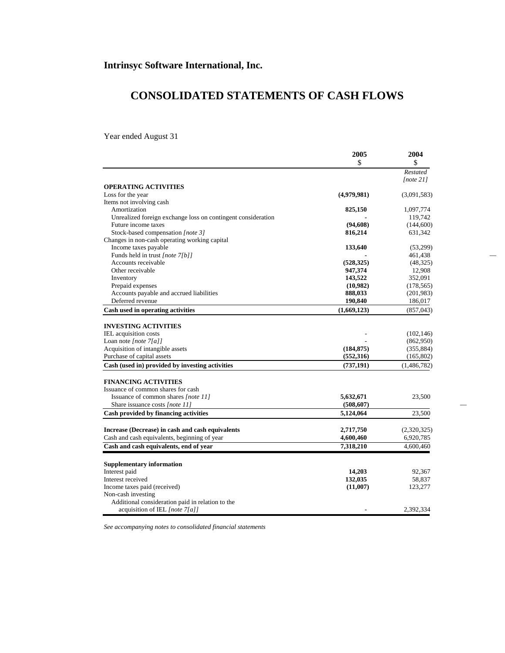# **CONSOLIDATED STATEMENTS OF CASH FLOWS**

Year ended August 31

|                                                              | 2005        | 2004         |  |
|--------------------------------------------------------------|-------------|--------------|--|
|                                                              | \$          | \$           |  |
|                                                              |             | Restated     |  |
|                                                              |             | [note $21$ ] |  |
| <b>OPERATING ACTIVITIES</b>                                  |             |              |  |
| Loss for the year                                            | (4,979,981) | (3,091,583)  |  |
| Items not involving cash                                     |             |              |  |
| Amortization                                                 | 825,150     | 1,097,774    |  |
| Unrealized foreign exchange loss on contingent consideration |             | 119,742      |  |
| Future income taxes                                          | (94, 608)   | (144,600)    |  |
| Stock-based compensation [note 3]                            | 816,214     | 631,342      |  |
| Changes in non-cash operating working capital                |             |              |  |
| Income taxes payable                                         | 133,640     | (53,299)     |  |
| Funds held in trust [note 7[b]]                              |             | 461,438      |  |
| Accounts receivable                                          | (528, 325)  | (48,325)     |  |
| Other receivable                                             | 947,374     | 12,908       |  |
| Inventory                                                    | 143,522     | 352,091      |  |
| Prepaid expenses                                             | (10,982)    | (178, 565)   |  |
| Accounts payable and accrued liabilities                     | 888,033     | (201, 983)   |  |
| Deferred revenue                                             | 190,840     | 186,017      |  |
| Cash used in operating activities                            | (1,669,123) | (857, 043)   |  |
|                                                              |             |              |  |
| <b>INVESTING ACTIVITIES</b>                                  |             |              |  |
| IEL acquisition costs                                        |             | (102, 146)   |  |
| Loan note [note $7[a]$ ]                                     |             | (862,950)    |  |
| Acquisition of intangible assets                             | (184, 875)  | (355, 884)   |  |
| Purchase of capital assets                                   | (552,316)   | (165, 802)   |  |
| Cash (used in) provided by investing activities              | (737, 191)  | (1,486,782)  |  |
|                                                              |             |              |  |
| <b>FINANCING ACTIVITIES</b>                                  |             |              |  |
| Issuance of common shares for cash                           |             |              |  |
| Issuance of common shares [note 11]                          | 5,632,671   | 23,500       |  |
| Share issuance costs [note 11]                               | (508, 607)  |              |  |
| Cash provided by financing activities                        | 5,124,064   | 23,500       |  |
|                                                              |             |              |  |
| Increase (Decrease) in cash and cash equivalents             | 2,717,750   | (2,320,325)  |  |
| Cash and cash equivalents, beginning of year                 | 4,600,460   | 6,920,785    |  |
| Cash and cash equivalents, end of year                       | 7,318,210   | 4,600,460    |  |
|                                                              |             |              |  |
| <b>Supplementary information</b>                             |             |              |  |
| Interest paid                                                | 14,203      | 92,367       |  |
| Interest received                                            | 132,035     | 58,837       |  |
| Income taxes paid (received)                                 | (11,007)    | 123,277      |  |
| Non-cash investing                                           |             |              |  |
| Additional consideration paid in relation to the             |             |              |  |
| acquisition of IEL [note 7[a]]                               |             | 2.392.334    |  |

*See accompanying notes to consolidated financial statements*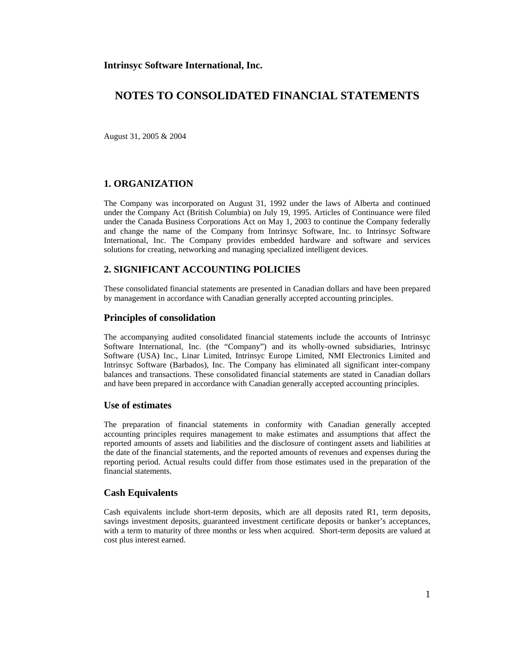August 31, 2005 & 2004

### **1. ORGANIZATION**

The Company was incorporated on August 31, 1992 under the laws of Alberta and continued under the Company Act (British Columbia) on July 19, 1995. Articles of Continuance were filed under the Canada Business Corporations Act on May 1, 2003 to continue the Company federally and change the name of the Company from Intrinsyc Software, Inc. to Intrinsyc Software International, Inc. The Company provides embedded hardware and software and services solutions for creating, networking and managing specialized intelligent devices.

### **2. SIGNIFICANT ACCOUNTING POLICIES**

These consolidated financial statements are presented in Canadian dollars and have been prepared by management in accordance with Canadian generally accepted accounting principles.

#### **Principles of consolidation**

The accompanying audited consolidated financial statements include the accounts of Intrinsyc Software International, Inc. (the "Company") and its wholly-owned subsidiaries, Intrinsyc Software (USA) Inc., Linar Limited, Intrinsyc Europe Limited, NMI Electronics Limited and Intrinsyc Software (Barbados), Inc. The Company has eliminated all significant inter-company balances and transactions. These consolidated financial statements are stated in Canadian dollars and have been prepared in accordance with Canadian generally accepted accounting principles.

### **Use of estimates**

The preparation of financial statements in conformity with Canadian generally accepted accounting principles requires management to make estimates and assumptions that affect the reported amounts of assets and liabilities and the disclosure of contingent assets and liabilities at the date of the financial statements, and the reported amounts of revenues and expenses during the reporting period. Actual results could differ from those estimates used in the preparation of the financial statements.

#### **Cash Equivalents**

Cash equivalents include short-term deposits, which are all deposits rated R1, term deposits, savings investment deposits, guaranteed investment certificate deposits or banker's acceptances, with a term to maturity of three months or less when acquired. Short-term deposits are valued at cost plus interest earned.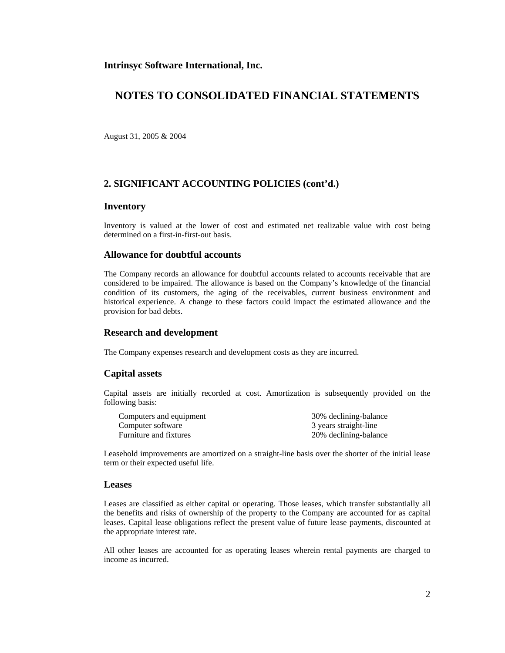## **NOTES TO CONSOLIDATED FINANCIAL STATEMENTS**

August 31, 2005 & 2004

### **2. SIGNIFICANT ACCOUNTING POLICIES (cont'd.)**

#### **Inventory**

Inventory is valued at the lower of cost and estimated net realizable value with cost being determined on a first-in-first-out basis.

#### **Allowance for doubtful accounts**

The Company records an allowance for doubtful accounts related to accounts receivable that are considered to be impaired. The allowance is based on the Company's knowledge of the financial condition of its customers, the aging of the receivables, current business environment and historical experience. A change to these factors could impact the estimated allowance and the provision for bad debts.

#### **Research and development**

The Company expenses research and development costs as they are incurred.

#### **Capital assets**

Capital assets are initially recorded at cost. Amortization is subsequently provided on the following basis:

| Computers and equipment | 30% declining-balance |
|-------------------------|-----------------------|
| Computer software       | 3 years straight-line |
| Furniture and fixtures  | 20% declining-balance |

Leasehold improvements are amortized on a straight-line basis over the shorter of the initial lease term or their expected useful life.

### **Leases**

Leases are classified as either capital or operating. Those leases, which transfer substantially all the benefits and risks of ownership of the property to the Company are accounted for as capital leases. Capital lease obligations reflect the present value of future lease payments, discounted at the appropriate interest rate.

All other leases are accounted for as operating leases wherein rental payments are charged to income as incurred.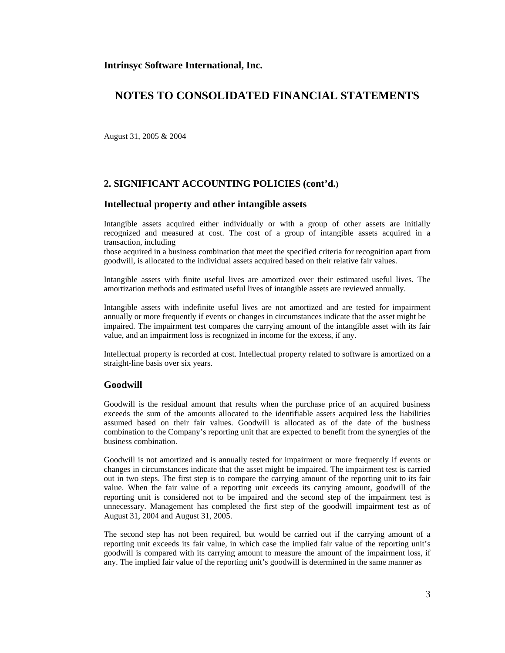## **NOTES TO CONSOLIDATED FINANCIAL STATEMENTS**

August 31, 2005 & 2004

### **2. SIGNIFICANT ACCOUNTING POLICIES (cont'd.)**

#### **Intellectual property and other intangible assets**

Intangible assets acquired either individually or with a group of other assets are initially recognized and measured at cost. The cost of a group of intangible assets acquired in a transaction, including

those acquired in a business combination that meet the specified criteria for recognition apart from goodwill, is allocated to the individual assets acquired based on their relative fair values.

Intangible assets with finite useful lives are amortized over their estimated useful lives. The amortization methods and estimated useful lives of intangible assets are reviewed annually.

Intangible assets with indefinite useful lives are not amortized and are tested for impairment annually or more frequently if events or changes in circumstances indicate that the asset might be impaired. The impairment test compares the carrying amount of the intangible asset with its fair value, and an impairment loss is recognized in income for the excess, if any.

Intellectual property is recorded at cost. Intellectual property related to software is amortized on a straight-line basis over six years.

#### **Goodwill**

Goodwill is the residual amount that results when the purchase price of an acquired business exceeds the sum of the amounts allocated to the identifiable assets acquired less the liabilities assumed based on their fair values. Goodwill is allocated as of the date of the business combination to the Company's reporting unit that are expected to benefit from the synergies of the business combination.

Goodwill is not amortized and is annually tested for impairment or more frequently if events or changes in circumstances indicate that the asset might be impaired. The impairment test is carried out in two steps. The first step is to compare the carrying amount of the reporting unit to its fair value. When the fair value of a reporting unit exceeds its carrying amount, goodwill of the reporting unit is considered not to be impaired and the second step of the impairment test is unnecessary. Management has completed the first step of the goodwill impairment test as of August 31, 2004 and August 31, 2005.

The second step has not been required, but would be carried out if the carrying amount of a reporting unit exceeds its fair value, in which case the implied fair value of the reporting unit's goodwill is compared with its carrying amount to measure the amount of the impairment loss, if any. The implied fair value of the reporting unit's goodwill is determined in the same manner as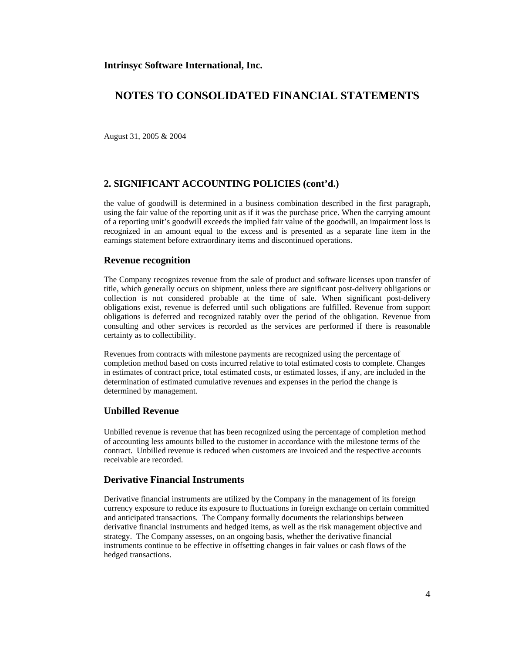August 31, 2005 & 2004

### **2. SIGNIFICANT ACCOUNTING POLICIES (cont'd.)**

the value of goodwill is determined in a business combination described in the first paragraph, using the fair value of the reporting unit as if it was the purchase price. When the carrying amount of a reporting unit's goodwill exceeds the implied fair value of the goodwill, an impairment loss is recognized in an amount equal to the excess and is presented as a separate line item in the earnings statement before extraordinary items and discontinued operations.

#### **Revenue recognition**

The Company recognizes revenue from the sale of product and software licenses upon transfer of title, which generally occurs on shipment, unless there are significant post-delivery obligations or collection is not considered probable at the time of sale. When significant post-delivery obligations exist, revenue is deferred until such obligations are fulfilled. Revenue from support obligations is deferred and recognized ratably over the period of the obligation. Revenue from consulting and other services is recorded as the services are performed if there is reasonable certainty as to collectibility.

Revenues from contracts with milestone payments are recognized using the percentage of completion method based on costs incurred relative to total estimated costs to complete. Changes in estimates of contract price, total estimated costs, or estimated losses, if any, are included in the determination of estimated cumulative revenues and expenses in the period the change is determined by management.

#### **Unbilled Revenue**

Unbilled revenue is revenue that has been recognized using the percentage of completion method of accounting less amounts billed to the customer in accordance with the milestone terms of the contract. Unbilled revenue is reduced when customers are invoiced and the respective accounts receivable are recorded.

### **Derivative Financial Instruments**

Derivative financial instruments are utilized by the Company in the management of its foreign currency exposure to reduce its exposure to fluctuations in foreign exchange on certain committed and anticipated transactions. The Company formally documents the relationships between derivative financial instruments and hedged items, as well as the risk management objective and strategy. The Company assesses, on an ongoing basis, whether the derivative financial instruments continue to be effective in offsetting changes in fair values or cash flows of the hedged transactions.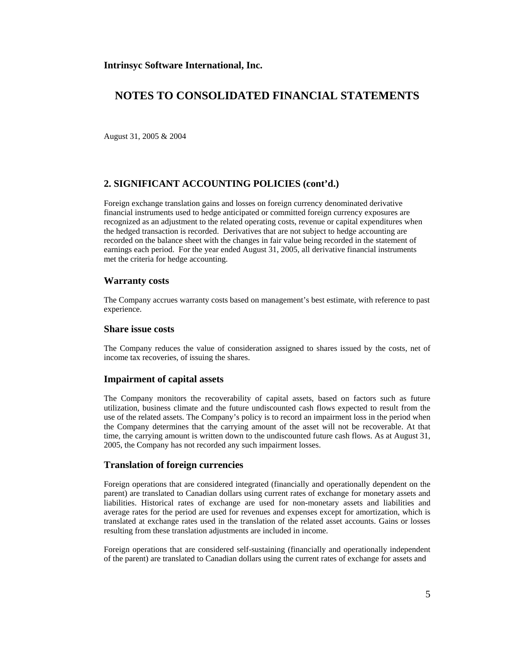August 31, 2005 & 2004

### **2. SIGNIFICANT ACCOUNTING POLICIES (cont'd.)**

Foreign exchange translation gains and losses on foreign currency denominated derivative financial instruments used to hedge anticipated or committed foreign currency exposures are recognized as an adjustment to the related operating costs, revenue or capital expenditures when the hedged transaction is recorded. Derivatives that are not subject to hedge accounting are recorded on the balance sheet with the changes in fair value being recorded in the statement of earnings each period. For the year ended August 31, 2005, all derivative financial instruments met the criteria for hedge accounting.

#### **Warranty costs**

The Company accrues warranty costs based on management's best estimate, with reference to past experience.

#### **Share issue costs**

The Company reduces the value of consideration assigned to shares issued by the costs, net of income tax recoveries, of issuing the shares.

#### **Impairment of capital assets**

The Company monitors the recoverability of capital assets, based on factors such as future utilization, business climate and the future undiscounted cash flows expected to result from the use of the related assets. The Company's policy is to record an impairment loss in the period when the Company determines that the carrying amount of the asset will not be recoverable. At that time, the carrying amount is written down to the undiscounted future cash flows. As at August 31, 2005, the Company has not recorded any such impairment losses.

#### **Translation of foreign currencies**

Foreign operations that are considered integrated (financially and operationally dependent on the parent) are translated to Canadian dollars using current rates of exchange for monetary assets and liabilities. Historical rates of exchange are used for non-monetary assets and liabilities and average rates for the period are used for revenues and expenses except for amortization, which is translated at exchange rates used in the translation of the related asset accounts. Gains or losses resulting from these translation adjustments are included in income.

Foreign operations that are considered self-sustaining (financially and operationally independent of the parent) are translated to Canadian dollars using the current rates of exchange for assets and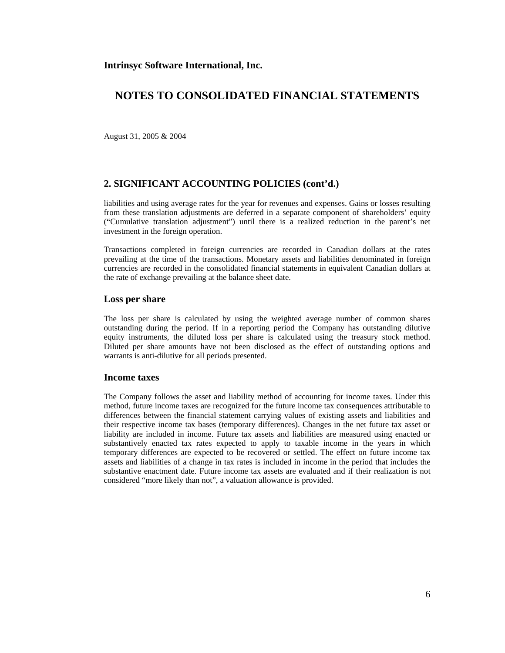August 31, 2005 & 2004

### **2. SIGNIFICANT ACCOUNTING POLICIES (cont'd.)**

liabilities and using average rates for the year for revenues and expenses. Gains or losses resulting from these translation adjustments are deferred in a separate component of shareholders' equity ("Cumulative translation adjustment") until there is a realized reduction in the parent's net investment in the foreign operation.

Transactions completed in foreign currencies are recorded in Canadian dollars at the rates prevailing at the time of the transactions. Monetary assets and liabilities denominated in foreign currencies are recorded in the consolidated financial statements in equivalent Canadian dollars at the rate of exchange prevailing at the balance sheet date.

#### **Loss per share**

The loss per share is calculated by using the weighted average number of common shares outstanding during the period. If in a reporting period the Company has outstanding dilutive equity instruments, the diluted loss per share is calculated using the treasury stock method. Diluted per share amounts have not been disclosed as the effect of outstanding options and warrants is anti-dilutive for all periods presented.

#### **Income taxes**

The Company follows the asset and liability method of accounting for income taxes. Under this method, future income taxes are recognized for the future income tax consequences attributable to differences between the financial statement carrying values of existing assets and liabilities and their respective income tax bases (temporary differences). Changes in the net future tax asset or liability are included in income. Future tax assets and liabilities are measured using enacted or substantively enacted tax rates expected to apply to taxable income in the years in which temporary differences are expected to be recovered or settled. The effect on future income tax assets and liabilities of a change in tax rates is included in income in the period that includes the substantive enactment date. Future income tax assets are evaluated and if their realization is not considered "more likely than not", a valuation allowance is provided.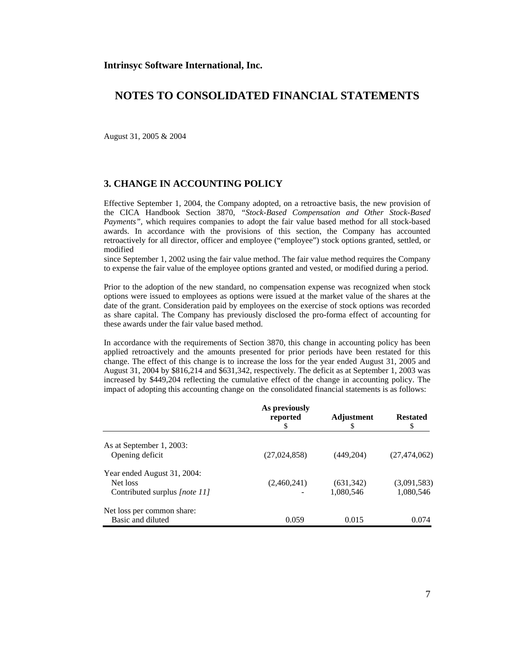August 31, 2005 & 2004

## **3. CHANGE IN ACCOUNTING POLICY**

Effective September 1, 2004, the Company adopted, on a retroactive basis, the new provision of the CICA Handbook Section 3870, *"Stock-Based Compensation and Other Stock-Based Payments",* which requires companies to adopt the fair value based method for all stock-based awards. In accordance with the provisions of this section, the Company has accounted retroactively for all director, officer and employee ("employee") stock options granted, settled, or modified

since September 1, 2002 using the fair value method. The fair value method requires the Company to expense the fair value of the employee options granted and vested, or modified during a period.

Prior to the adoption of the new standard, no compensation expense was recognized when stock options were issued to employees as options were issued at the market value of the shares at the date of the grant. Consideration paid by employees on the exercise of stock options was recorded as share capital. The Company has previously disclosed the pro-forma effect of accounting for these awards under the fair value based method.

In accordance with the requirements of Section 3870, this change in accounting policy has been applied retroactively and the amounts presented for prior periods have been restated for this change. The effect of this change is to increase the loss for the year ended August 31, 2005 and August 31, 2004 by \$816,214 and \$631,342, respectively. The deficit as at September 1, 2003 was increased by \$449,204 reflecting the cumulative effect of the change in accounting policy. The impact of adopting this accounting change on the consolidated financial statements is as follows:

|                               | As previously<br>reported | Adjustment<br>\$ | <b>Restated</b><br>\$ |
|-------------------------------|---------------------------|------------------|-----------------------|
| As at September 1, 2003:      |                           |                  |                       |
| Opening deficit               | (27, 024, 858)            | (449, 204)       | (27, 474, 062)        |
| Year ended August 31, 2004:   |                           |                  |                       |
| Net loss                      | (2,460,241)               | (631, 342)       | (3,091,583)           |
| Contributed surplus [note 11] |                           | 1,080,546        | 1,080,546             |
| Net loss per common share:    |                           |                  |                       |
| Basic and diluted             | 0.059                     | 0.015            | 0.074                 |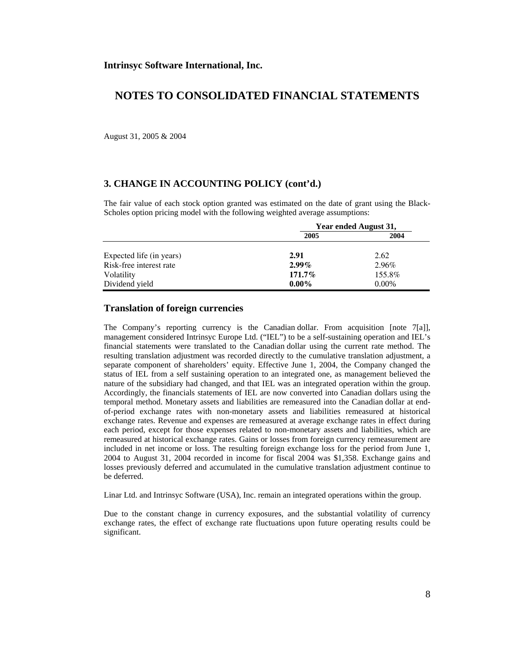August 31, 2005 & 2004

### **3. CHANGE IN ACCOUNTING POLICY (cont'd.)**

The fair value of each stock option granted was estimated on the date of grant using the Black-Scholes option pricing model with the following weighted average assumptions:

|                          | Year ended August 31, |          |
|--------------------------|-----------------------|----------|
|                          | 2005                  | 2004     |
| Expected life (in years) | 2.91                  | 2.62     |
| Risk-free interest rate  | $2.99\%$              | 2.96%    |
| Volatility               | $171.7\%$             | 155.8%   |
| Dividend yield           | $0.00\%$              | $0.00\%$ |

### **Translation of foreign currencies**

The Company's reporting currency is the Canadian dollar. From acquisition [note 7[a]], management considered Intrinsyc Europe Ltd. ("IEL") to be a self-sustaining operation and IEL's financial statements were translated to the Canadian dollar using the current rate method. The resulting translation adjustment was recorded directly to the cumulative translation adjustment, a separate component of shareholders' equity. Effective June 1, 2004, the Company changed the status of IEL from a self sustaining operation to an integrated one, as management believed the nature of the subsidiary had changed, and that IEL was an integrated operation within the group. Accordingly, the financials statements of IEL are now converted into Canadian dollars using the temporal method. Monetary assets and liabilities are remeasured into the Canadian dollar at endof-period exchange rates with non-monetary assets and liabilities remeasured at historical exchange rates. Revenue and expenses are remeasured at average exchange rates in effect during each period, except for those expenses related to non-monetary assets and liabilities, which are remeasured at historical exchange rates. Gains or losses from foreign currency remeasurement are included in net income or loss. The resulting foreign exchange loss for the period from June 1, 2004 to August 31, 2004 recorded in income for fiscal 2004 was \$1,358. Exchange gains and losses previously deferred and accumulated in the cumulative translation adjustment continue to be deferred.

Linar Ltd. and Intrinsyc Software (USA), Inc. remain an integrated operations within the group.

Due to the constant change in currency exposures, and the substantial volatility of currency exchange rates, the effect of exchange rate fluctuations upon future operating results could be significant.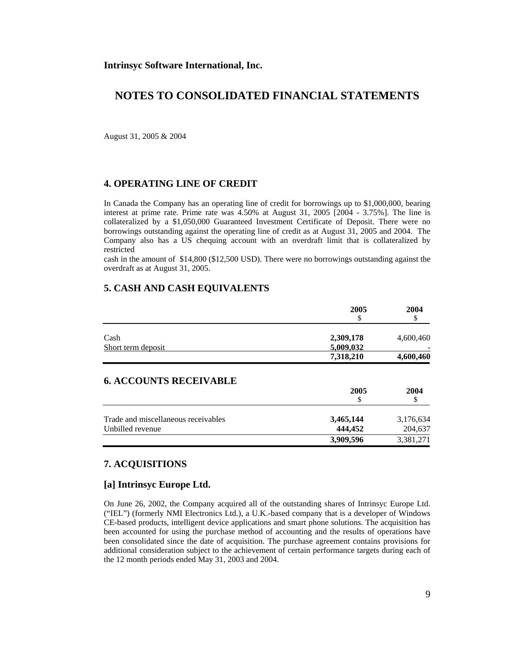August 31, 2005 & 2004

### **4. OPERATING LINE OF CREDIT**

In Canada the Company has an operating line of credit for borrowings up to \$1,000,000, bearing interest at prime rate. Prime rate was 4.50% at August 31, 2005 [2004 - 3.75%]. The line is collateralized by a \$1,050,000 Guaranteed Investment Certificate of Deposit. There were no borrowings outstanding against the operating line of credit as at August 31, 2005 and 2004. The Company also has a US chequing account with an overdraft limit that is collateralized by restricted

cash in the amount of \$14,800 (\$12,500 USD). There were no borrowings outstanding against the overdraft as at August 31, 2005.

## **5. CASH AND CASH EQUIVALENTS**

|                                     | 2005<br>\$ | 2004<br>Ъ |
|-------------------------------------|------------|-----------|
|                                     |            |           |
| Cash                                | 2,309,178  | 4,600,460 |
| Short term deposit                  | 5,009,032  |           |
|                                     | 7,318,210  | 4,600,460 |
| <b>6. ACCOUNTS RECEIVABLE</b>       | 2005<br>\$ | 2004      |
| Trade and miscellaneous receivables | 3,465,144  | 3,176,634 |
| Unbilled revenue                    | 444,452    | 204,637   |
|                                     | 3,909,596  | 3,381,271 |

## **7. ACQUISITIONS**

### **[a] Intrinsyc Europe Ltd.**

On June 26, 2002, the Company acquired all of the outstanding shares of Intrinsyc Europe Ltd. ("IEL") (formerly NMI Electronics Ltd.), a U.K.-based company that is a developer of Windows CE-based products, intelligent device applications and smart phone solutions. The acquisition has been accounted for using the purchase method of accounting and the results of operations have been consolidated since the date of acquisition. The purchase agreement contains provisions for additional consideration subject to the achievement of certain performance targets during each of the 12 month periods ended May 31, 2003 and 2004.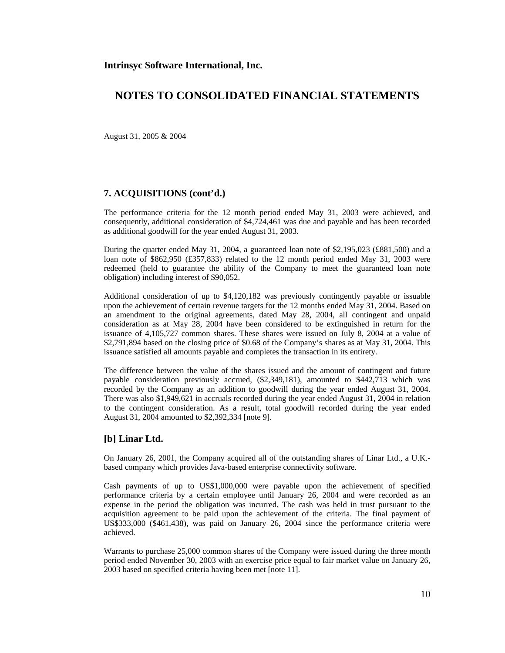August 31, 2005 & 2004

#### **7. ACQUISITIONS (cont'd.)**

The performance criteria for the 12 month period ended May 31, 2003 were achieved, and consequently, additional consideration of \$4,724,461 was due and payable and has been recorded as additional goodwill for the year ended August 31, 2003.

During the quarter ended May 31, 2004, a guaranteed loan note of \$2,195,023 (£881,500) and a loan note of \$862,950 (£357,833) related to the 12 month period ended May 31, 2003 were redeemed (held to guarantee the ability of the Company to meet the guaranteed loan note obligation) including interest of \$90,052.

Additional consideration of up to \$4,120,182 was previously contingently payable or issuable upon the achievement of certain revenue targets for the 12 months ended May 31, 2004. Based on an amendment to the original agreements, dated May 28, 2004, all contingent and unpaid consideration as at May 28, 2004 have been considered to be extinguished in return for the issuance of 4,105,727 common shares. These shares were issued on July 8, 2004 at a value of \$2,791,894 based on the closing price of \$0.68 of the Company's shares as at May 31, 2004. This issuance satisfied all amounts payable and completes the transaction in its entirety.

The difference between the value of the shares issued and the amount of contingent and future payable consideration previously accrued, (\$2,349,181), amounted to \$442,713 which was recorded by the Company as an addition to goodwill during the year ended August 31, 2004. There was also \$1,949,621 in accruals recorded during the year ended August 31, 2004 in relation to the contingent consideration. As a result, total goodwill recorded during the year ended August 31, 2004 amounted to \$2,392,334 [note 9].

#### **[b] Linar Ltd.**

On January 26, 2001, the Company acquired all of the outstanding shares of Linar Ltd., a U.K. based company which provides Java-based enterprise connectivity software.

Cash payments of up to US\$1,000,000 were payable upon the achievement of specified performance criteria by a certain employee until January 26, 2004 and were recorded as an expense in the period the obligation was incurred. The cash was held in trust pursuant to the acquisition agreement to be paid upon the achievement of the criteria. The final payment of US\$333,000 (\$461,438), was paid on January 26, 2004 since the performance criteria were achieved.

Warrants to purchase 25,000 common shares of the Company were issued during the three month period ended November 30, 2003 with an exercise price equal to fair market value on January 26, 2003 based on specified criteria having been met [note 11].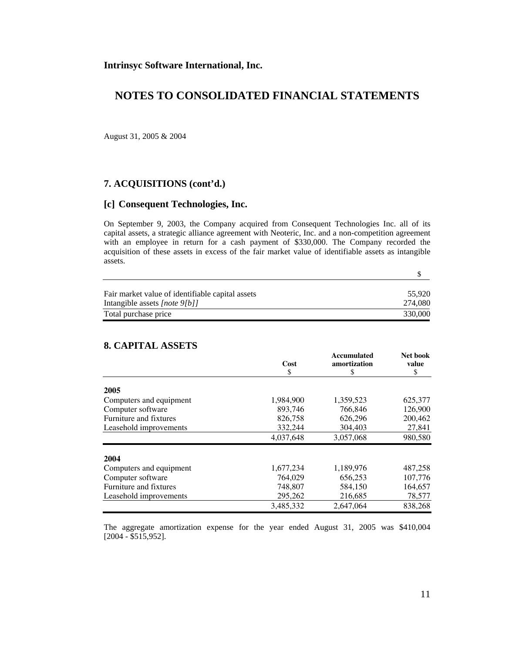## **NOTES TO CONSOLIDATED FINANCIAL STATEMENTS**

August 31, 2005 & 2004

### **7. ACQUISITIONS (cont'd.)**

### **[c] Consequent Technologies, Inc.**

On September 9, 2003, the Company acquired from Consequent Technologies Inc. all of its capital assets, a strategic alliance agreement with Neoteric, Inc. and a non-competition agreement with an employee in return for a cash payment of \$330,000. The Company recorded the acquisition of these assets in excess of the fair market value of identifiable assets as intangible assets.

| Fair market value of identifiable capital assets | 55.920  |
|--------------------------------------------------|---------|
| Intangible assets [note 9[b]]                    | 274.080 |
| Total purchase price                             | 330,000 |

## **8. CAPITAL ASSETS**

|                         | Cost      | Accumulated<br>amortization | Net book<br>value |
|-------------------------|-----------|-----------------------------|-------------------|
|                         | \$        | S                           | \$                |
|                         |           |                             |                   |
| 2005                    |           |                             |                   |
| Computers and equipment | 1,984,900 | 1,359,523                   | 625,377           |
| Computer software       | 893,746   | 766,846                     | 126,900           |
| Furniture and fixtures  | 826,758   | 626,296                     | 200,462           |
| Leasehold improvements  | 332,244   | 304,403                     | 27,841            |
|                         | 4.037.648 | 3,057,068                   | 980,580           |
| 2004                    |           |                             |                   |
| Computers and equipment | 1,677,234 | 1,189,976                   | 487,258           |
| Computer software       | 764,029   | 656,253                     | 107,776           |
| Furniture and fixtures  | 748,807   | 584,150                     | 164,657           |
| Leasehold improvements  | 295,262   | 216,685                     | 78,577            |
|                         | 3.485.332 | 2.647.064                   | 838,268           |

The aggregate amortization expense for the year ended August 31, 2005 was \$410,004 [2004 - \$515,952].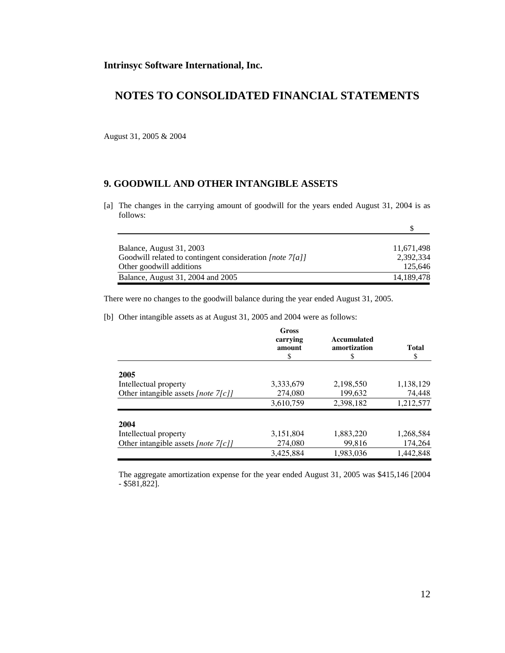August 31, 2005 & 2004

## **9. GOODWILL AND OTHER INTANGIBLE ASSETS**

[a] The changes in the carrying amount of goodwill for the years ended August 31, 2004 is as follows:

| Balance, August 31, 2003                                    | 11,671,498 |
|-------------------------------------------------------------|------------|
| Goodwill related to contingent consideration [note $7[a]$ ] | 2.392.334  |
| Other goodwill additions                                    | 125.646    |
| Balance, August 31, 2004 and 2005                           | 14,189,478 |

There were no changes to the goodwill balance during the year ended August 31, 2005.

[b] Other intangible assets as at August 31, 2005 and 2004 were as follows:

|                                        | Gross<br>carrying<br>amount<br>S | Accumulated<br>amortization<br>S | Total<br>\$ |
|----------------------------------------|----------------------------------|----------------------------------|-------------|
| 2005                                   |                                  |                                  |             |
| Intellectual property                  | 3,333,679                        | 2,198,550                        | 1,138,129   |
| Other intangible assets [note $7[c]$ ] | 274,080                          | 199,632                          | 74,448      |
|                                        | 3,610,759                        | 2,398,182                        | 1,212,577   |
| 2004                                   |                                  |                                  |             |
| Intellectual property                  | 3,151,804                        | 1,883,220                        | 1,268,584   |
| Other intangible assets [note $7[c]$ ] | 274,080                          | 99,816                           | 174,264     |
|                                        | 3,425,884                        | 1,983,036                        | 1,442,848   |

 The aggregate amortization expense for the year ended August 31, 2005 was \$415,146 [2004 - \$581,822].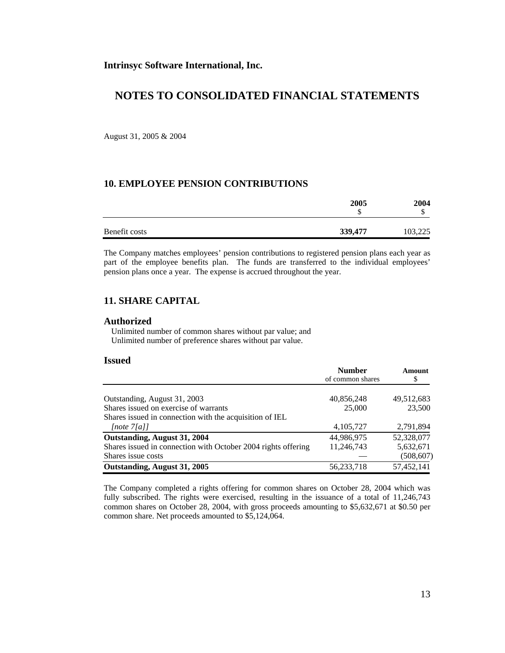August 31, 2005 & 2004

### **10. EMPLOYEE PENSION CONTRIBUTIONS**

|               | 2005    | 2004    |
|---------------|---------|---------|
|               | Φ       |         |
|               |         |         |
| Benefit costs | 339,477 | 103,225 |

The Company matches employees' pension contributions to registered pension plans each year as part of the employee benefits plan. The funds are transferred to the individual employees' pension plans once a year. The expense is accrued throughout the year.

## **11. SHARE CAPITAL**

#### **Authorized**

 Unlimited number of common shares without par value; and Unlimited number of preference shares without par value.

#### **Issued**

|                                                               | <b>Number</b><br>of common shares | <b>Amount</b><br>\$ |
|---------------------------------------------------------------|-----------------------------------|---------------------|
|                                                               |                                   |                     |
| Outstanding, August 31, 2003                                  | 40,856,248                        | 49,512,683          |
| Shares issued on exercise of warrants                         | 25,000                            | 23,500              |
| Shares issued in connection with the acquisition of IEL       |                                   |                     |
| [note 7[a]]                                                   | 4,105,727                         | 2,791,894           |
| Outstanding, August 31, 2004                                  | 44.986.975                        | 52,328,077          |
| Shares issued in connection with October 2004 rights offering | 11,246,743                        | 5,632,671           |
| Shares issue costs                                            |                                   | (508, 607)          |
| Outstanding, August 31, 2005                                  | 56,233,718                        | 57,452,141          |

The Company completed a rights offering for common shares on October 28, 2004 which was fully subscribed. The rights were exercised, resulting in the issuance of a total of 11,246,743 common shares on October 28, 2004, with gross proceeds amounting to \$5,632,671 at \$0.50 per common share. Net proceeds amounted to \$5,124,064.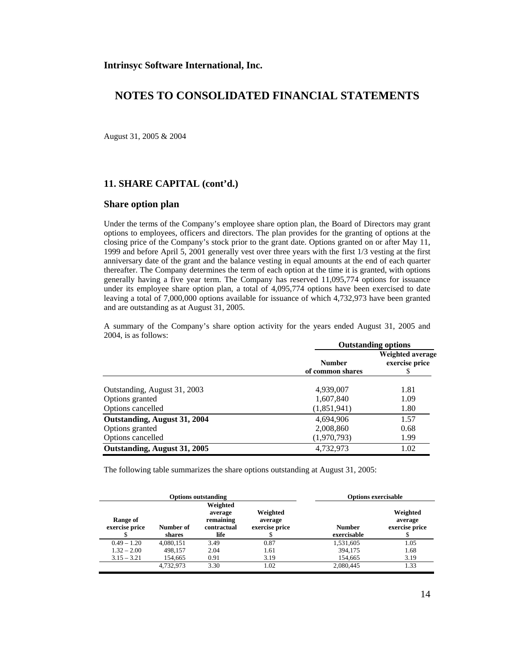August 31, 2005 & 2004

#### **11. SHARE CAPITAL (cont'd.)**

#### **Share option plan**

Under the terms of the Company's employee share option plan, the Board of Directors may grant options to employees, officers and directors. The plan provides for the granting of options at the closing price of the Company's stock prior to the grant date. Options granted on or after May 11, 1999 and before April 5, 2001 generally vest over three years with the first 1/3 vesting at the first anniversary date of the grant and the balance vesting in equal amounts at the end of each quarter thereafter. The Company determines the term of each option at the time it is granted, with options generally having a five year term. The Company has reserved 11,095,774 options for issuance under its employee share option plan, a total of 4,095,774 options have been exercised to date leaving a total of 7,000,000 options available for issuance of which 4,732,973 have been granted and are outstanding as at August 31, 2005.

A summary of the Company's share option activity for the years ended August 31, 2005 and 2004, is as follows:

|                              |                                   | <b>Outstanding options</b>               |  |
|------------------------------|-----------------------------------|------------------------------------------|--|
|                              | <b>Number</b><br>of common shares | Weighted average<br>exercise price<br>\$ |  |
| Outstanding, August 31, 2003 | 4,939,007                         | 1.81                                     |  |
| Options granted              | 1,607,840                         | 1.09                                     |  |
| Options cancelled            | (1,851,941)                       | 1.80                                     |  |
| Outstanding, August 31, 2004 | 4,694,906                         | 1.57                                     |  |
| Options granted              | 2,008,860                         | 0.68                                     |  |
| Options cancelled            | (1,970,793)                       | 1.99                                     |  |
| Outstanding, August 31, 2005 | 4,732,973                         | 1.02                                     |  |

The following table summarizes the share options outstanding at August 31, 2005:

|                            |                     | <b>Options outstanding</b>                              |                                            | <b>Options exercisable</b>   |                                       |
|----------------------------|---------------------|---------------------------------------------------------|--------------------------------------------|------------------------------|---------------------------------------|
| Range of<br>exercise price | Number of<br>shares | Weighted<br>average<br>remaining<br>contractual<br>life | Weighted<br>average<br>exercise price<br>Φ | <b>Number</b><br>exercisable | Weighted<br>average<br>exercise price |
| $0.49 - 1.20$              | 4,080,151           | 3.49                                                    | 0.87                                       | 1,531,605                    | 1.05                                  |
| $1.32 - 2.00$              | 498.157             | 2.04                                                    | 1.61                                       | 394,175                      | 1.68                                  |
| $3.15 - 3.21$              | 154,665             | 0.91                                                    | 3.19                                       | 154,665                      | 3.19                                  |
|                            | 4,732,973           | 3.30                                                    | 1.02                                       | 2,080,445                    | 1.33                                  |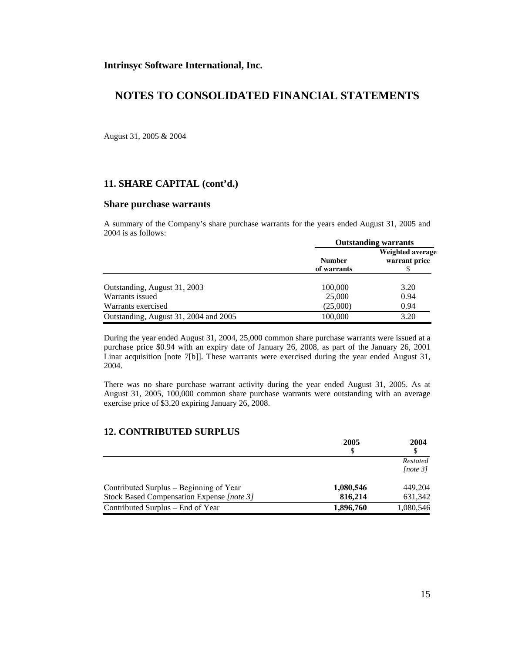## **NOTES TO CONSOLIDATED FINANCIAL STATEMENTS**

August 31, 2005 & 2004

### **11. SHARE CAPITAL (cont'd.)**

#### **Share purchase warrants**

A summary of the Company's share purchase warrants for the years ended August 31, 2005 and 2004 is as follows: **Outstanding warrants** 

|                                       | <b>Outstanding warrants</b> |                                   |  |
|---------------------------------------|-----------------------------|-----------------------------------|--|
|                                       | <b>Number</b>               | Weighted average<br>warrant price |  |
|                                       | of warrants                 |                                   |  |
| Outstanding, August 31, 2003          | 100,000                     | 3.20                              |  |
| Warrants issued                       | 25,000                      | 0.94                              |  |
| Warrants exercised                    | (25,000)                    | 0.94                              |  |
| Outstanding, August 31, 2004 and 2005 | 100,000                     | 3.20                              |  |

During the year ended August 31, 2004, 25,000 common share purchase warrants were issued at a purchase price \$0.94 with an expiry date of January 26, 2008, as part of the January 26, 2001 Linar acquisition [note 7[b]]. These warrants were exercised during the year ended August 31, 2004.

There was no share purchase warrant activity during the year ended August 31, 2005. As at August 31, 2005, 100,000 common share purchase warrants were outstanding with an average exercise price of \$3.20 expiring January 26, 2008.

### **12. CONTRIBUTED SURPLUS**

|                                           | 2005<br>S | 2004      |  |
|-------------------------------------------|-----------|-----------|--|
|                                           |           |           |  |
|                                           |           | Restated  |  |
|                                           |           | [note 3]  |  |
| Contributed Surplus – Beginning of Year   | 1,080,546 | 449.204   |  |
| Stock Based Compensation Expense [note 3] | 816,214   | 631,342   |  |
| Contributed Surplus – End of Year         | 1,896,760 | 1,080,546 |  |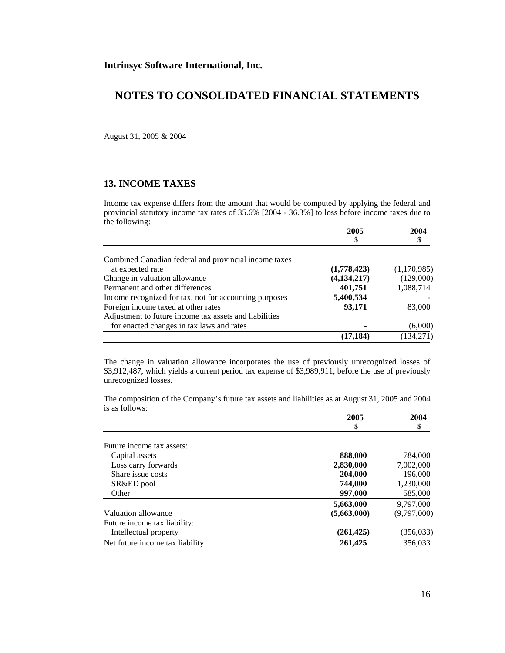August 31, 2005 & 2004

### **13. INCOME TAXES**

Income tax expense differs from the amount that would be computed by applying the federal and provincial statutory income tax rates of 35.6% [2004 - 36.3%] to loss before income taxes due to the following:

|                                                        | 2005          | 2004        |
|--------------------------------------------------------|---------------|-------------|
|                                                        |               |             |
| Combined Canadian federal and provincial income taxes  |               |             |
| at expected rate                                       | (1,778,423)   | (1,170,985) |
| Change in valuation allowance                          | (4, 134, 217) | (129,000)   |
| Permanent and other differences                        | 401,751       | 1,088,714   |
| Income recognized for tax, not for accounting purposes | 5,400,534     |             |
| Foreign income taxed at other rates                    | 93,171        | 83,000      |
| Adjustment to future income tax assets and liabilities |               |             |
| for enacted changes in tax laws and rates              |               | (6,000)     |
|                                                        | (17, 184)     | (134,271)   |

The change in valuation allowance incorporates the use of previously unrecognized losses of \$3,912,487, which yields a current period tax expense of \$3,989,911, before the use of previously unrecognized losses.

The composition of the Company's future tax assets and liabilities as at August 31, 2005 and 2004 is as follows:

|                                 | 2005        | 2004        |
|---------------------------------|-------------|-------------|
|                                 | \$          | \$          |
| Future income tax assets:       |             |             |
| Capital assets                  | 888,000     | 784,000     |
| Loss carry forwards             | 2,830,000   | 7,002,000   |
| Share issue costs               | 204,000     | 196,000     |
| SR&ED pool                      | 744,000     | 1,230,000   |
| Other                           | 997,000     | 585,000     |
|                                 | 5,663,000   | 9.797.000   |
| Valuation allowance             | (5,663,000) | (9,797,000) |
| Future income tax liability:    |             |             |
| Intellectual property           | (261, 425)  | (356, 033)  |
| Net future income tax liability | 261,425     | 356.033     |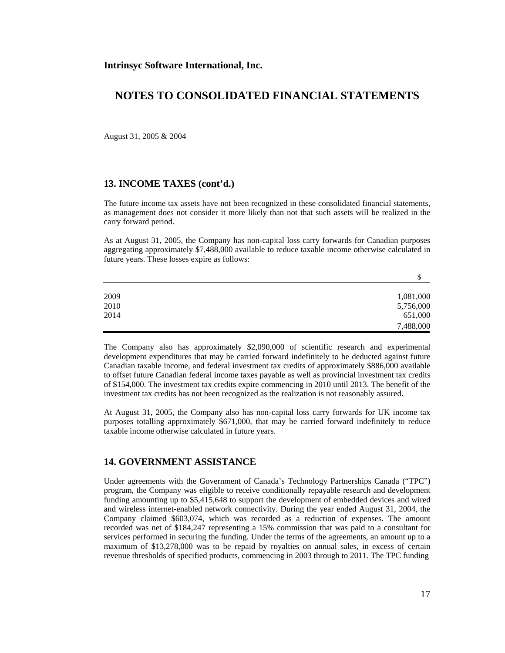August 31, 2005 & 2004

#### **13. INCOME TAXES (cont'd.)**

The future income tax assets have not been recognized in these consolidated financial statements, as management does not consider it more likely than not that such assets will be realized in the carry forward period.

As at August 31, 2005, the Company has non-capital loss carry forwards for Canadian purposes aggregating approximately \$7,488,000 available to reduce taxable income otherwise calculated in future years. These losses expire as follows:

|      | \$        |
|------|-----------|
|      |           |
| 2009 | 1,081,000 |
| 2010 | 5,756,000 |
| 2014 | 651,000   |
|      | 7,488,000 |

The Company also has approximately \$2,090,000 of scientific research and experimental development expenditures that may be carried forward indefinitely to be deducted against future Canadian taxable income, and federal investment tax credits of approximately \$886,000 available to offset future Canadian federal income taxes payable as well as provincial investment tax credits of \$154,000. The investment tax credits expire commencing in 2010 until 2013. The benefit of the investment tax credits has not been recognized as the realization is not reasonably assured.

At August 31, 2005, the Company also has non-capital loss carry forwards for UK income tax purposes totalling approximately \$671,000, that may be carried forward indefinitely to reduce taxable income otherwise calculated in future years.

### **14. GOVERNMENT ASSISTANCE**

Under agreements with the Government of Canada's Technology Partnerships Canada ("TPC") program, the Company was eligible to receive conditionally repayable research and development funding amounting up to \$5,415,648 to support the development of embedded devices and wired and wireless internet-enabled network connectivity. During the year ended August 31, 2004, the Company claimed \$603,074, which was recorded as a reduction of expenses. The amount recorded was net of \$184,247 representing a 15% commission that was paid to a consultant for services performed in securing the funding. Under the terms of the agreements, an amount up to a maximum of \$13,278,000 was to be repaid by royalties on annual sales, in excess of certain revenue thresholds of specified products, commencing in 2003 through to 2011. The TPC funding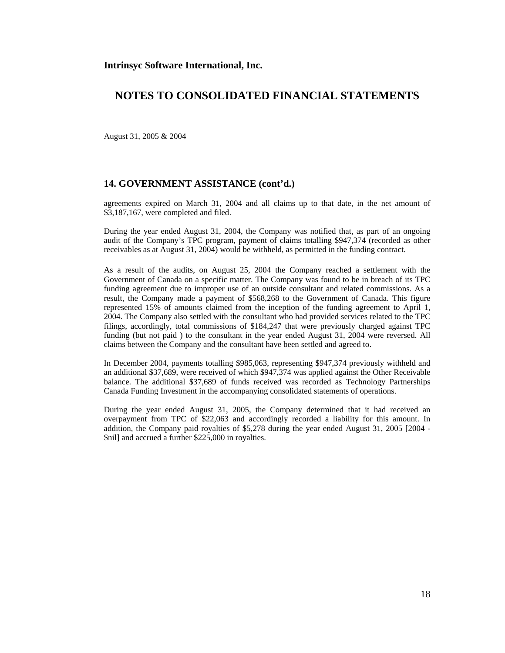August 31, 2005 & 2004

#### **14. GOVERNMENT ASSISTANCE (cont'd.)**

agreements expired on March 31, 2004 and all claims up to that date, in the net amount of \$3,187,167, were completed and filed.

During the year ended August 31, 2004, the Company was notified that, as part of an ongoing audit of the Company's TPC program, payment of claims totalling \$947,374 (recorded as other receivables as at August 31, 2004) would be withheld, as permitted in the funding contract.

As a result of the audits, on August 25, 2004 the Company reached a settlement with the Government of Canada on a specific matter. The Company was found to be in breach of its TPC funding agreement due to improper use of an outside consultant and related commissions. As a result, the Company made a payment of \$568,268 to the Government of Canada. This figure represented 15% of amounts claimed from the inception of the funding agreement to April 1, 2004. The Company also settled with the consultant who had provided services related to the TPC filings, accordingly, total commissions of \$184,247 that were previously charged against TPC funding (but not paid ) to the consultant in the year ended August 31, 2004 were reversed. All claims between the Company and the consultant have been settled and agreed to.

In December 2004, payments totalling \$985,063, representing \$947,374 previously withheld and an additional \$37,689, were received of which \$947,374 was applied against the Other Receivable balance. The additional \$37,689 of funds received was recorded as Technology Partnerships Canada Funding Investment in the accompanying consolidated statements of operations.

During the year ended August 31, 2005, the Company determined that it had received an overpayment from TPC of \$22,063 and accordingly recorded a liability for this amount. In addition, the Company paid royalties of \$5,278 during the year ended August 31, 2005 [2004 - \$nil] and accrued a further \$225,000 in royalties.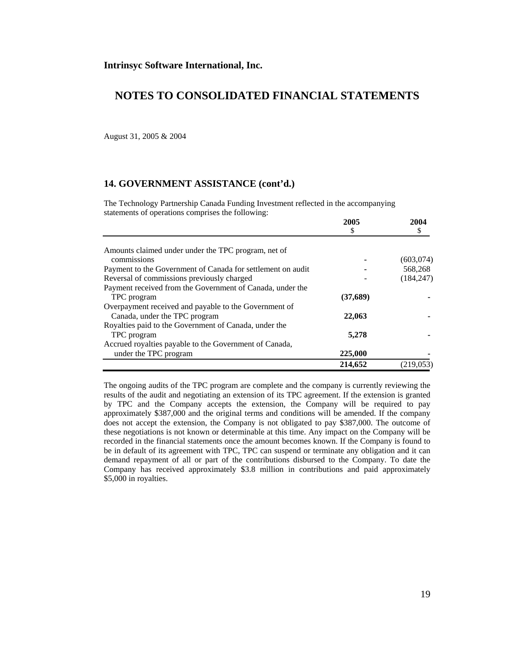August 31, 2005 & 2004

#### **14. GOVERNMENT ASSISTANCE (cont'd.)**

The Technology Partnership Canada Funding Investment reflected in the accompanying statements of operations comprises the following:

|                                                             | 2005      | 2004       |
|-------------------------------------------------------------|-----------|------------|
|                                                             | \$        |            |
| Amounts claimed under under the TPC program, net of         |           |            |
| commissions                                                 |           | (603,074)  |
| Payment to the Government of Canada for settlement on audit |           | 568,268    |
| Reversal of commissions previously charged                  |           | (184, 247) |
| Payment received from the Government of Canada, under the   |           |            |
| TPC program                                                 | (37, 689) |            |
| Overpayment received and payable to the Government of       |           |            |
| Canada, under the TPC program                               | 22,063    |            |
| Royalties paid to the Government of Canada, under the       |           |            |
| TPC program                                                 | 5,278     |            |
| Accrued royalties payable to the Government of Canada,      |           |            |
| under the TPC program                                       | 225,000   |            |
|                                                             | 214,652   | (219,053)  |

The ongoing audits of the TPC program are complete and the company is currently reviewing the results of the audit and negotiating an extension of its TPC agreement. If the extension is granted by TPC and the Company accepts the extension, the Company will be required to pay approximately \$387,000 and the original terms and conditions will be amended. If the company does not accept the extension, the Company is not obligated to pay \$387,000. The outcome of these negotiations is not known or determinable at this time. Any impact on the Company will be recorded in the financial statements once the amount becomes known. If the Company is found to be in default of its agreement with TPC, TPC can suspend or terminate any obligation and it can demand repayment of all or part of the contributions disbursed to the Company. To date the Company has received approximately \$3.8 million in contributions and paid approximately \$5,000 in royalties.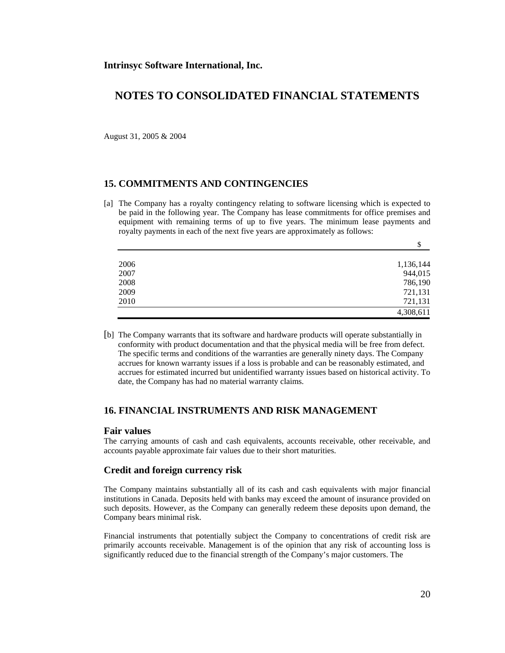August 31, 2005 & 2004

### **15. COMMITMENTS AND CONTINGENCIES**

[a] The Company has a royalty contingency relating to software licensing which is expected to be paid in the following year. The Company has lease commitments for office premises and equipment with remaining terms of up to five years. The minimum lease payments and royalty payments in each of the next five years are approximately as follows:

|      | \$        |
|------|-----------|
|      |           |
| 2006 | 1,136,144 |
| 2007 | 944,015   |
| 2008 | 786,190   |
| 2009 | 721,131   |
| 2010 | 721,131   |
|      | 4,308,611 |

[b] The Company warrants that its software and hardware products will operate substantially in conformity with product documentation and that the physical media will be free from defect. The specific terms and conditions of the warranties are generally ninety days. The Company accrues for known warranty issues if a loss is probable and can be reasonably estimated, and accrues for estimated incurred but unidentified warranty issues based on historical activity. To date, the Company has had no material warranty claims.

### **16. FINANCIAL INSTRUMENTS AND RISK MANAGEMENT**

#### **Fair values**

The carrying amounts of cash and cash equivalents, accounts receivable, other receivable, and accounts payable approximate fair values due to their short maturities.

#### **Credit and foreign currency risk**

The Company maintains substantially all of its cash and cash equivalents with major financial institutions in Canada. Deposits held with banks may exceed the amount of insurance provided on such deposits. However, as the Company can generally redeem these deposits upon demand, the Company bears minimal risk.

Financial instruments that potentially subject the Company to concentrations of credit risk are primarily accounts receivable. Management is of the opinion that any risk of accounting loss is significantly reduced due to the financial strength of the Company's major customers. The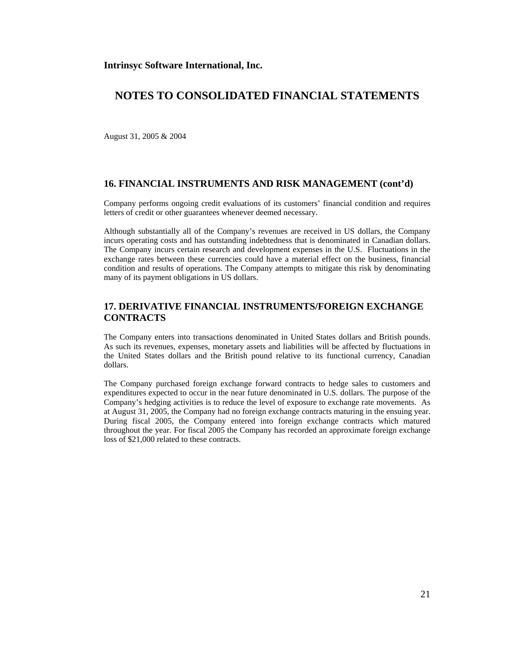August 31, 2005 & 2004

#### **16. FINANCIAL INSTRUMENTS AND RISK MANAGEMENT (cont'd)**

Company performs ongoing credit evaluations of its customers' financial condition and requires letters of credit or other guarantees whenever deemed necessary.

Although substantially all of the Company's revenues are received in US dollars, the Company incurs operating costs and has outstanding indebtedness that is denominated in Canadian dollars. The Company incurs certain research and development expenses in the U.S. Fluctuations in the exchange rates between these currencies could have a material effect on the business, financial condition and results of operations. The Company attempts to mitigate this risk by denominating many of its payment obligations in US dollars.

## **17. DERIVATIVE FINANCIAL INSTRUMENTS/FOREIGN EXCHANGE CONTRACTS**

The Company enters into transactions denominated in United States dollars and British pounds. As such its revenues, expenses, monetary assets and liabilities will be affected by fluctuations in the United States dollars and the British pound relative to its functional currency, Canadian dollars.

The Company purchased foreign exchange forward contracts to hedge sales to customers and expenditures expected to occur in the near future denominated in U.S. dollars. The purpose of the Company's hedging activities is to reduce the level of exposure to exchange rate movements. As at August 31, 2005, the Company had no foreign exchange contracts maturing in the ensuing year. During fiscal 2005, the Company entered into foreign exchange contracts which matured throughout the year. For fiscal 2005 the Company has recorded an approximate foreign exchange loss of \$21,000 related to these contracts.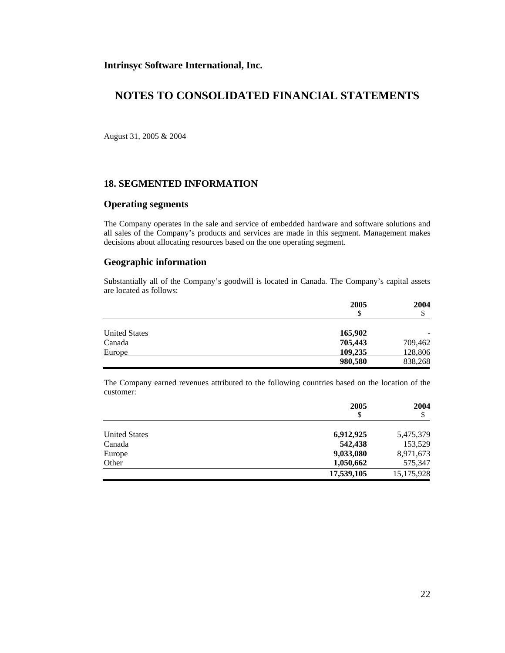## **NOTES TO CONSOLIDATED FINANCIAL STATEMENTS**

August 31, 2005 & 2004

### **18. SEGMENTED INFORMATION**

#### **Operating segments**

The Company operates in the sale and service of embedded hardware and software solutions and all sales of the Company's products and services are made in this segment. Management makes decisions about allocating resources based on the one operating segment.

### **Geographic information**

Substantially all of the Company's goodwill is located in Canada. The Company's capital assets are located as follows:

|                      | 2005<br>\$ | 2004<br>Φ |
|----------------------|------------|-----------|
|                      |            |           |
| <b>United States</b> | 165,902    |           |
| Canada               | 705,443    | 709,462   |
| Europe               | 109,235    | 128,806   |
|                      | 980,580    | 838,268   |

The Company earned revenues attributed to the following countries based on the location of the customer:

|                      | 2005<br>\$ | 2004<br>Φ  |
|----------------------|------------|------------|
| <b>United States</b> | 6,912,925  | 5,475,379  |
| Canada               | 542,438    | 153,529    |
| Europe               | 9,033,080  | 8,971,673  |
| Other                | 1,050,662  | 575,347    |
|                      | 17,539,105 | 15,175,928 |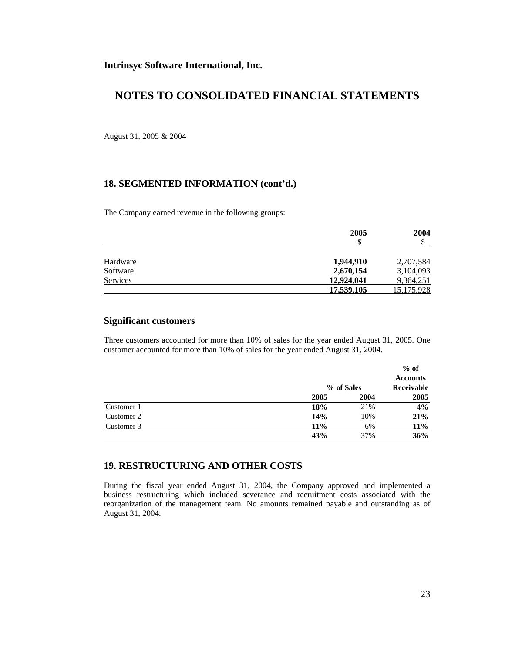August 31, 2005 & 2004

### **18. SEGMENTED INFORMATION (cont'd.)**

The Company earned revenue in the following groups:

|                 | 2005<br>\$ | 2004<br>S         |
|-----------------|------------|-------------------|
|                 |            |                   |
| Hardware        | 1,944,910  | 2,707,584         |
| Software        | 2,670,154  | 3,104,093         |
| <b>Services</b> | 12,924,041 | 9,364,251         |
|                 | 17,539,105 | <u>15,175,928</u> |

### **Significant customers**

Three customers accounted for more than 10% of sales for the year ended August 31, 2005. One customer accounted for more than 10% of sales for the year ended August 31, 2004.

|            |      |            | $%$ of<br><b>Accounts</b> |
|------------|------|------------|---------------------------|
|            |      | % of Sales |                           |
|            | 2005 | 2004       | 2005                      |
| Customer 1 | 18%  | 21%        | $4\%$                     |
| Customer 2 | 14%  | 10%        | 21%                       |
| Customer 3 | 11%  | 6%         | <b>11%</b>                |
|            | 43%  | 37%        | 36%                       |

#### **19. RESTRUCTURING AND OTHER COSTS**

During the fiscal year ended August 31, 2004, the Company approved and implemented a business restructuring which included severance and recruitment costs associated with the reorganization of the management team. No amounts remained payable and outstanding as of August 31, 2004.